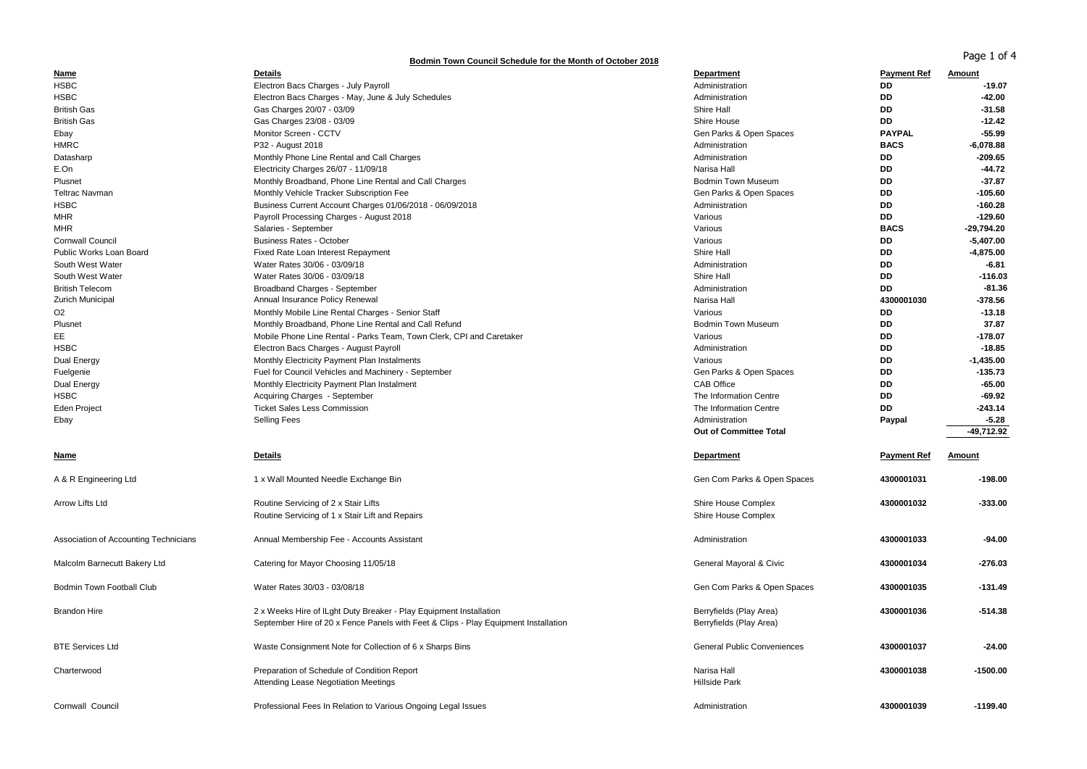## **Bodmin Town Council Schedule for the Month of October 2018**

Page 1 of 4

| Name                                  | <b>Details</b>                                                                      | Department                         | <b>Payment Ref</b> | Amount        |
|---------------------------------------|-------------------------------------------------------------------------------------|------------------------------------|--------------------|---------------|
| <b>HSBC</b>                           | Electron Bacs Charges - July Payroll                                                | Administration                     | <b>DD</b>          | $-19.07$      |
| <b>HSBC</b>                           | Electron Bacs Charges - May, June & July Schedules                                  | Administration                     | <b>DD</b>          | $-42.00$      |
| <b>British Gas</b>                    | Gas Charges 20/07 - 03/09                                                           | Shire Hall                         | <b>DD</b>          | $-31.58$      |
| <b>British Gas</b>                    | Gas Charges 23/08 - 03/09                                                           | Shire House                        | <b>DD</b>          | $-12.42$      |
| Ebay                                  | Monitor Screen - CCTV                                                               | Gen Parks & Open Spaces            | <b>PAYPAL</b>      | $-55.99$      |
| <b>HMRC</b>                           | P32 - August 2018                                                                   | Administration                     | <b>BACS</b>        | $-6,078.88$   |
| Datasharp                             | Monthly Phone Line Rental and Call Charges                                          | Administration                     | DD                 | $-209.65$     |
| E.On                                  | Electricity Charges 26/07 - 11/09/18                                                | Narisa Hall                        | DD                 | $-44.72$      |
| Plusnet                               | Monthly Broadband, Phone Line Rental and Call Charges                               | <b>Bodmin Town Museum</b>          | <b>DD</b>          | $-37.87$      |
| <b>Teltrac Navman</b>                 | Monthly Vehicle Tracker Subscription Fee                                            | Gen Parks & Open Spaces            | <b>DD</b>          | $-105.60$     |
| <b>HSBC</b>                           | Business Current Account Charges 01/06/2018 - 06/09/2018                            | Administration                     | <b>DD</b>          | $-160.28$     |
| <b>MHR</b>                            | Payroll Processing Charges - August 2018                                            | Various                            | <b>DD</b>          | $-129.60$     |
| <b>MHR</b>                            | Salaries - September                                                                | Various                            | <b>BACS</b>        | -29,794.20    |
| <b>Cornwall Council</b>               | <b>Business Rates - October</b>                                                     | Various                            | <b>DD</b>          | $-5,407.00$   |
| Public Works Loan Board               | Fixed Rate Loan Interest Repayment                                                  | Shire Hall                         | DD                 | $-4,875.00$   |
| South West Water                      | Water Rates 30/06 - 03/09/18                                                        | Administration                     | DD                 | $-6.81$       |
| South West Water                      | Water Rates 30/06 - 03/09/18                                                        | Shire Hall                         | <b>DD</b>          | $-116.03$     |
| <b>British Telecom</b>                | Broadband Charges - September                                                       | Administration                     | <b>DD</b>          | $-81.36$      |
| <b>Zurich Municipal</b>               | Annual Insurance Policy Renewal                                                     | Narisa Hall                        | 4300001030         | $-378.56$     |
| O <sub>2</sub>                        | Monthly Mobile Line Rental Charges - Senior Staff                                   | Various                            | DD                 | $-13.18$      |
| Plusnet                               | Monthly Broadband, Phone Line Rental and Call Refund                                | <b>Bodmin Town Museum</b>          | DD                 | 37.87         |
| EE                                    |                                                                                     |                                    | <b>DD</b>          | $-178.07$     |
|                                       | Mobile Phone Line Rental - Parks Team, Town Clerk, CPI and Caretaker                | Various                            |                    |               |
| <b>HSBC</b>                           | Electron Bacs Charges - August Payroll                                              | Administration                     | DD                 | $-18.85$      |
| Dual Energy                           | Monthly Electricity Payment Plan Instalments                                        | Various                            | DD                 | $-1,435.00$   |
| Fuelgenie                             | Fuel for Council Vehicles and Machinery - September                                 | Gen Parks & Open Spaces            | DD                 | $-135.73$     |
| Dual Energy                           | Monthly Electricity Payment Plan Instalment                                         | CAB Office                         | DD                 | $-65.00$      |
| <b>HSBC</b>                           | Acquiring Charges - September                                                       | The Information Centre             | DD                 | $-69.92$      |
| Eden Project                          | <b>Ticket Sales Less Commission</b>                                                 | The Information Centre             | DD                 | $-243.14$     |
| Ebay                                  | <b>Selling Fees</b>                                                                 | Administration                     | Paypal             | $-5.28$       |
|                                       |                                                                                     | Out of Committee Total             |                    | $-49,712.92$  |
| <b>Name</b>                           | <b>Details</b>                                                                      | Department                         | <b>Payment Ref</b> | <b>Amount</b> |
|                                       |                                                                                     |                                    |                    |               |
| A & R Engineering Ltd                 | 1 x Wall Mounted Needle Exchange Bin                                                | Gen Com Parks & Open Spaces        | 4300001031         | $-198.00$     |
| Arrow Lifts Ltd                       | Routine Servicing of 2 x Stair Lifts                                                | Shire House Complex                | 4300001032         | $-333.00$     |
|                                       | Routine Servicing of 1 x Stair Lift and Repairs                                     | Shire House Complex                |                    |               |
|                                       |                                                                                     |                                    |                    |               |
| Association of Accounting Technicians | Annual Membership Fee - Accounts Assistant                                          | Administration                     | 4300001033         | $-94.00$      |
| Malcolm Barnecutt Bakery Ltd          | Catering for Mayor Choosing 11/05/18                                                | General Mayoral & Civic            | 4300001034         | $-276.03$     |
|                                       |                                                                                     |                                    |                    |               |
| Bodmin Town Football Club             | Water Rates 30/03 - 03/08/18                                                        | Gen Com Parks & Open Spaces        | 4300001035         | $-131.49$     |
|                                       |                                                                                     |                                    |                    |               |
| <b>Brandon Hire</b>                   | 2 x Weeks Hire of ILght Duty Breaker - Play Equipment Installation                  | Berryfields (Play Area)            | 4300001036         | -514.38       |
|                                       | September Hire of 20 x Fence Panels with Feet & Clips - Play Equipment Installation | Berryfields (Play Area)            |                    |               |
|                                       |                                                                                     |                                    |                    |               |
| <b>BTE Services Ltd</b>               | Waste Consignment Note for Collection of 6 x Sharps Bins                            | <b>General Public Conveniences</b> | 4300001037         | $-24.00$      |
|                                       |                                                                                     |                                    |                    |               |
| Charterwood                           | Preparation of Schedule of Condition Report                                         | Narisa Hall                        | 4300001038         | $-1500.00$    |
|                                       | Attending Lease Negotiation Meetings                                                | <b>Hillside Park</b>               |                    |               |
|                                       |                                                                                     |                                    |                    |               |
| <b>Cornwall Council</b>               | Professional Fees In Relation to Various Ongoing Legal Issues                       | Administration                     | 4300001039         | $-1199.40$    |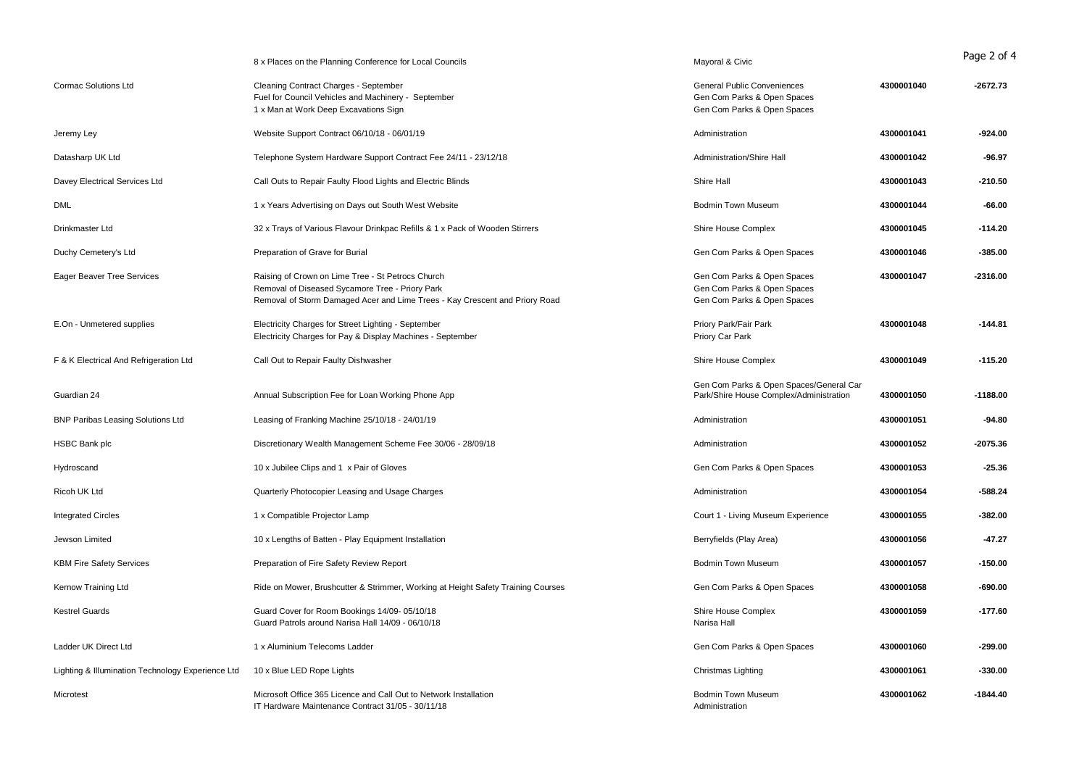|                                                   | 8 x Places on the Planning Conference for Local Councils                                                                                                                            | Mayoral & Civic                                                                                  |            | Page 2 of 4 |
|---------------------------------------------------|-------------------------------------------------------------------------------------------------------------------------------------------------------------------------------------|--------------------------------------------------------------------------------------------------|------------|-------------|
| Cormac Solutions Ltd                              | Cleaning Contract Charges - September<br>Fuel for Council Vehicles and Machinery - September<br>1 x Man at Work Deep Excavations Sign                                               | <b>General Public Conveniences</b><br>Gen Com Parks & Open Spaces<br>Gen Com Parks & Open Spaces | 4300001040 | $-2672.73$  |
| Jeremy Ley                                        | Website Support Contract 06/10/18 - 06/01/19                                                                                                                                        | Administration                                                                                   | 4300001041 | $-924.00$   |
| Datasharp UK Ltd                                  | Telephone System Hardware Support Contract Fee 24/11 - 23/12/18                                                                                                                     | Administration/Shire Hall                                                                        | 4300001042 | $-96.97$    |
| Davey Electrical Services Ltd                     | Call Outs to Repair Faulty Flood Lights and Electric Blinds                                                                                                                         | Shire Hall                                                                                       | 4300001043 | $-210.50$   |
| DML                                               | 1 x Years Advertising on Days out South West Website                                                                                                                                | <b>Bodmin Town Museum</b>                                                                        | 4300001044 | $-66.00$    |
| Drinkmaster Ltd                                   | 32 x Trays of Various Flavour Drinkpac Refills & 1 x Pack of Wooden Stirrers                                                                                                        | Shire House Complex                                                                              | 4300001045 | $-114.20$   |
| Duchy Cemetery's Ltd                              | Preparation of Grave for Burial                                                                                                                                                     | Gen Com Parks & Open Spaces                                                                      | 4300001046 | $-385.00$   |
| <b>Eager Beaver Tree Services</b>                 | Raising of Crown on Lime Tree - St Petrocs Church<br>Removal of Diseased Sycamore Tree - Priory Park<br>Removal of Storm Damaged Acer and Lime Trees - Kay Crescent and Priory Road | Gen Com Parks & Open Spaces<br>Gen Com Parks & Open Spaces<br>Gen Com Parks & Open Spaces        | 4300001047 | $-2316.00$  |
| E.On - Unmetered supplies                         | Electricity Charges for Street Lighting - September<br>Electricity Charges for Pay & Display Machines - September                                                                   | Priory Park/Fair Park<br>Priory Car Park                                                         | 4300001048 | $-144.81$   |
| F & K Electrical And Refrigeration Ltd            | Call Out to Repair Faulty Dishwasher                                                                                                                                                | Shire House Complex                                                                              | 4300001049 | $-115.20$   |
| Guardian 24                                       | Annual Subscription Fee for Loan Working Phone App                                                                                                                                  | Gen Com Parks & Open Spaces/General Car<br>Park/Shire House Complex/Administration               | 4300001050 | $-1188.00$  |
| <b>BNP Paribas Leasing Solutions Ltd</b>          | Leasing of Franking Machine 25/10/18 - 24/01/19                                                                                                                                     | Administration                                                                                   | 4300001051 | $-94.80$    |
| <b>HSBC Bank plc</b>                              | Discretionary Wealth Management Scheme Fee 30/06 - 28/09/18                                                                                                                         | Administration                                                                                   | 4300001052 | $-2075.36$  |
| Hydroscand                                        | 10 x Jubilee Clips and 1 x Pair of Gloves                                                                                                                                           | Gen Com Parks & Open Spaces                                                                      | 4300001053 | $-25.36$    |
| Ricoh UK Ltd                                      | Quarterly Photocopier Leasing and Usage Charges                                                                                                                                     | Administration                                                                                   | 4300001054 | $-588.24$   |
| <b>Integrated Circles</b>                         | 1 x Compatible Projector Lamp                                                                                                                                                       | Court 1 - Living Museum Experience                                                               | 4300001055 | $-382.00$   |
| Jewson Limited                                    | 10 x Lengths of Batten - Play Equipment Installation                                                                                                                                | Berryfields (Play Area)                                                                          | 4300001056 | $-47.27$    |
| <b>KBM Fire Safety Services</b>                   | Preparation of Fire Safety Review Report                                                                                                                                            | <b>Bodmin Town Museum</b>                                                                        | 4300001057 | $-150.00$   |
| Kernow Training Ltd                               | Ride on Mower, Brushcutter & Strimmer, Working at Height Safety Training Courses                                                                                                    | Gen Com Parks & Open Spaces                                                                      | 4300001058 | $-690.00$   |
| <b>Kestrel Guards</b>                             | Guard Cover for Room Bookings 14/09-05/10/18<br>Guard Patrols around Narisa Hall 14/09 - 06/10/18                                                                                   | Shire House Complex<br>Narisa Hall                                                               | 4300001059 | $-177.60$   |
| Ladder UK Direct Ltd                              | 1 x Aluminium Telecoms Ladder                                                                                                                                                       | Gen Com Parks & Open Spaces                                                                      | 4300001060 | $-299.00$   |
| Lighting & Illumination Technology Experience Ltd | 10 x Blue LED Rope Lights                                                                                                                                                           | Christmas Lighting                                                                               | 4300001061 | $-330.00$   |
| Microtest                                         | Microsoft Office 365 Licence and Call Out to Network Installation<br>IT Hardware Maintenance Contract 31/05 - 30/11/18                                                              | <b>Bodmin Town Museum</b><br>Administration                                                      | 4300001062 | $-1844.40$  |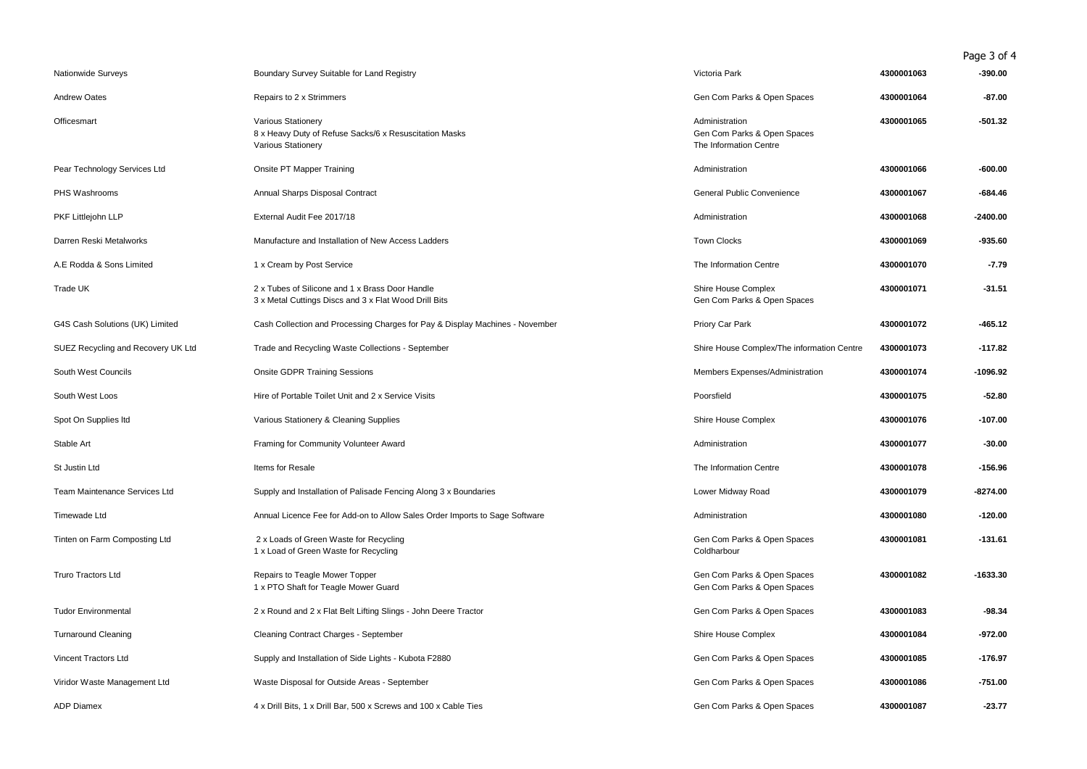Page 3 of 4

| Nationwide Surveys                 | Boundary Survey Suitable for Land Registry                                                                | Victoria Park                                                           | 4300001063 | $-390.00$  |
|------------------------------------|-----------------------------------------------------------------------------------------------------------|-------------------------------------------------------------------------|------------|------------|
| <b>Andrew Oates</b>                | Repairs to 2 x Strimmers                                                                                  | Gen Com Parks & Open Spaces                                             | 4300001064 | $-87.00$   |
| Officesmart                        | Various Stationery<br>8 x Heavy Duty of Refuse Sacks/6 x Resuscitation Masks<br><b>Various Stationery</b> | Administration<br>Gen Com Parks & Open Spaces<br>The Information Centre | 4300001065 | $-501.32$  |
| Pear Technology Services Ltd       | Onsite PT Mapper Training                                                                                 | Administration                                                          | 4300001066 | -600.00    |
| PHS Washrooms                      | Annual Sharps Disposal Contract                                                                           | General Public Convenience                                              | 4300001067 | -684.46    |
| PKF Littlejohn LLP                 | External Audit Fee 2017/18                                                                                | Administration                                                          | 4300001068 | $-2400.00$ |
| Darren Reski Metalworks            | Manufacture and Installation of New Access Ladders                                                        | <b>Town Clocks</b>                                                      | 4300001069 | $-935.60$  |
| A.E Rodda & Sons Limited           | 1 x Cream by Post Service                                                                                 | The Information Centre                                                  | 4300001070 | $-7.79$    |
| Trade UK                           | 2 x Tubes of Silicone and 1 x Brass Door Handle<br>3 x Metal Cuttings Discs and 3 x Flat Wood Drill Bits  | Shire House Complex<br>Gen Com Parks & Open Spaces                      | 4300001071 | $-31.51$   |
| G4S Cash Solutions (UK) Limited    | Cash Collection and Processing Charges for Pay & Display Machines - November                              | Priory Car Park                                                         | 4300001072 | $-465.12$  |
| SUEZ Recycling and Recovery UK Ltd | Trade and Recycling Waste Collections - September                                                         | Shire House Complex/The information Centre                              | 4300001073 | $-117.82$  |
| South West Councils                | <b>Onsite GDPR Training Sessions</b>                                                                      | Members Expenses/Administration                                         | 4300001074 | $-1096.92$ |
| South West Loos                    | Hire of Portable Toilet Unit and 2 x Service Visits                                                       | Poorsfield                                                              | 4300001075 | $-52.80$   |
| Spot On Supplies Itd               | Various Stationery & Cleaning Supplies                                                                    | Shire House Complex                                                     | 4300001076 | $-107.00$  |
| Stable Art                         | Framing for Community Volunteer Award                                                                     | Administration                                                          | 4300001077 | $-30.00$   |
| St Justin Ltd                      | Items for Resale                                                                                          | The Information Centre                                                  | 4300001078 | $-156.96$  |
| Team Maintenance Services Ltd      | Supply and Installation of Palisade Fencing Along 3 x Boundaries                                          | Lower Midway Road                                                       | 4300001079 | $-8274.00$ |
| Timewade Ltd                       | Annual Licence Fee for Add-on to Allow Sales Order Imports to Sage Software                               | Administration                                                          | 4300001080 | $-120.00$  |
| Tinten on Farm Composting Ltd      | 2 x Loads of Green Waste for Recycling<br>1 x Load of Green Waste for Recycling                           | Gen Com Parks & Open Spaces<br>Coldharbour                              | 4300001081 | $-131.61$  |
| <b>Truro Tractors Ltd</b>          | Repairs to Teagle Mower Topper<br>1 x PTO Shaft for Teagle Mower Guard                                    | Gen Com Parks & Open Spaces<br>Gen Com Parks & Open Spaces              | 4300001082 | $-1633.30$ |
| <b>Tudor Environmental</b>         | 2 x Round and 2 x Flat Belt Lifting Slings - John Deere Tractor                                           | Gen Com Parks & Open Spaces                                             | 4300001083 | $-98.34$   |
| <b>Turnaround Cleaning</b>         | Cleaning Contract Charges - September                                                                     | Shire House Complex                                                     | 4300001084 | -972.00    |
| Vincent Tractors Ltd               | Supply and Installation of Side Lights - Kubota F2880                                                     | Gen Com Parks & Open Spaces                                             | 4300001085 | $-176.97$  |
| Viridor Waste Management Ltd       | Waste Disposal for Outside Areas - September                                                              | Gen Com Parks & Open Spaces                                             | 4300001086 | $-751.00$  |
| <b>ADP Diamex</b>                  | 4 x Drill Bits, 1 x Drill Bar, 500 x Screws and 100 x Cable Ties                                          | Gen Com Parks & Open Spaces                                             | 4300001087 | $-23.77$   |